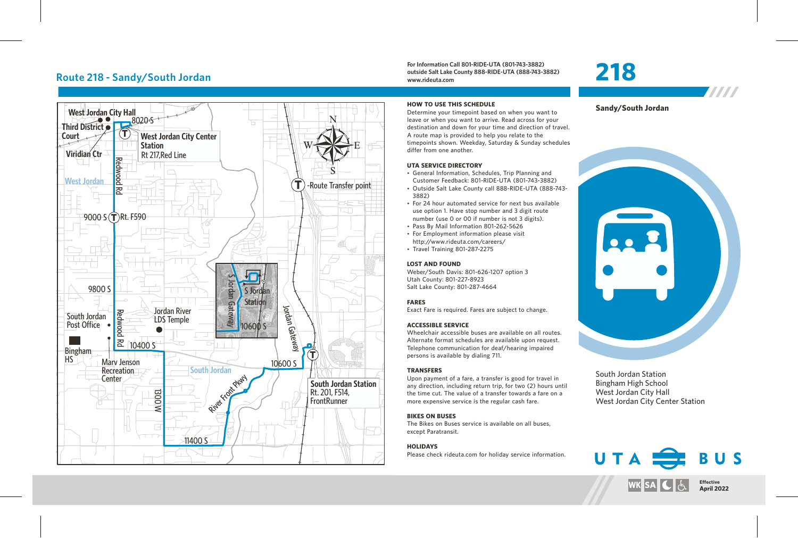## **Route 218 - Sandy/South Jordan**



**For Information Call 801-RIDE-UTA (801-743-3882) outside Salt Lake County 888-RIDE-UTA (888-743-3882) www.rideuta.com**

Determine your timepoint based on when you want to leave or when you want to arrive. Read across for your destination and down for your time and direction of travel. A route map is provided to help you relate to the timepoints shown. Weekday, Saturday & Sunday schedules

• General Information, Schedules, Trip Planning and Customer Feedback: 801-RIDE-UTA (801-743-3882) • Outside Salt Lake County call 888-RIDE-UTA (888-743-

• For 24 hour automated service for next bus available use option 1. Have stop number and 3 digit route number (use 0 or 00 if number is not 3 digits). • Pass By Mail Information 801-262-5626 • For Employment information please visit http://www.rideuta.com/careers/  $\cdot$  Travel Training 801-287-2275

Weber/South Davis: 801-626-1207 option 3

Exact Fare is required. Fares are subject to change.

Wheelchair accessible buses are available on all routes. Alternate format schedules are available upon request. Telephone communication for deaf/hearing impaired

Upon payment of a fare, a transfer is good for travel in any direction, including return trip, for two (2) hours until the time cut. The value of a transfer towards a fare on a more expensive service is the regular cash fare.

**HOW TO USE THIS SCHEDULE**

differ from one another. **UTA SERVICE DIRECTORY**

3882)

**LOST AND FOUND**

**FARES**

Utah County: 801-227-8923 Salt Lake County: 801-287-4664

**ACCESSIBLE SERVICE** 

persons is available by dialing 711.

## **218**

**Sandy/South Jordan**

W



South Jordan Station Bingham High School West Jordan City Hall West Jordan City Center Station

## **BIKES ON BUSES**

**TRANSFERS**

The Bikes on Buses service is available on all buses, except Paratransit.

## **HOLIDAYS**

Please check rideuta.com for holiday service information.